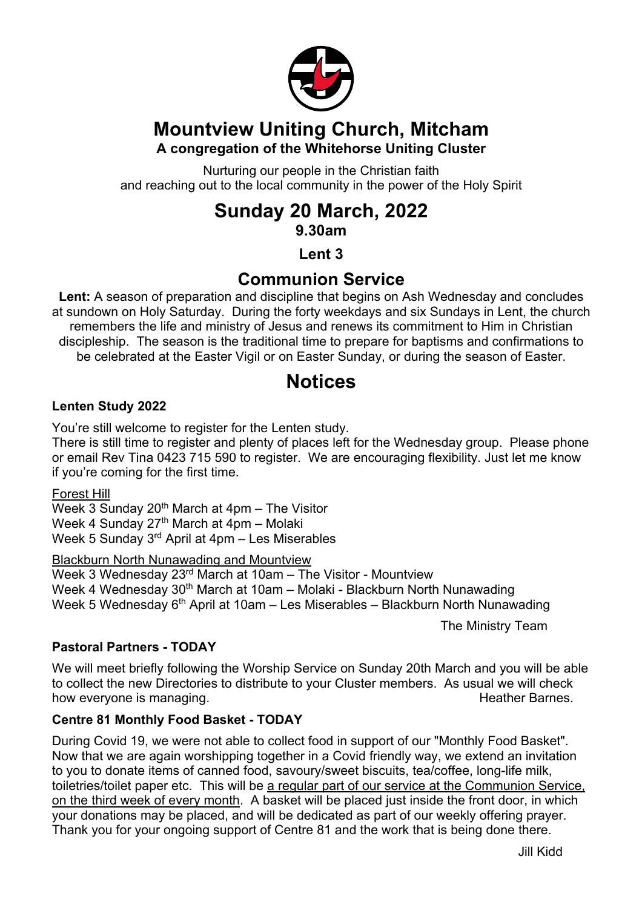

# **Mountview Uniting Church, Mitcham**

### **A congregation of the Whitehorse Uniting Cluster**

Nurturing our people in the Christian faith and reaching out to the local community in the power of the Holy Spirit

# **Sunday 20 March, 2022**

**9.30am**

**Lent 3**

# **Communion Service**

**Lent:** A season of preparation and discipline that begins on Ash Wednesday and concludes at sundown on Holy Saturday. During the forty weekdays and six Sundays in Lent, the church remembers the life and ministry of Jesus and renews its commitment to Him in Christian discipleship. The season is the traditional time to prepare for baptisms and confirmations to be celebrated at the Easter Vigil or on Easter Sunday, or during the season of Easter.

# **Notices**

#### **Lenten Study 2022**

You're still welcome to register for the Lenten study.

There is still time to register and plenty of places left for the Wednesday group. Please phone or email Rev Tina 0423 715 590 to register. We are encouraging flexibility. Just let me know if you're coming for the first time.

Forest Hill

Week 3 Sunday  $20<sup>th</sup>$  March at 4pm – The Visitor Week 4 Sunday 27<sup>th</sup> March at 4pm – Molaki Week 5 Sunday 3rd April at 4pm – Les Miserables

Blackburn North Nunawading and Mountview

Week 3 Wednesday 23rd March at 10am – The Visitor - Mountview Week 4 Wednesday 30<sup>th</sup> March at 10am – Molaki - Blackburn North Nunawading Week 5 Wednesday  $6<sup>th</sup>$  April at 10am – Les Miserables – Blackburn North Nunawading

The Ministry Team

#### **Pastoral Partners - TODAY**

We will meet briefly following the Worship Service on Sunday 20th March and you will be able to collect the new Directories to distribute to your Cluster members. As usual we will check how everyone is managing. The state of the state of the Heather Barnes.

#### **Centre 81 Monthly Food Basket - TODAY**

During Covid 19, we were not able to collect food in support of our "Monthly Food Basket". Now that we are again worshipping together in a Covid friendly way, we extend an invitation to you to donate items of canned food, savoury/sweet biscuits, tea/coffee, long-life milk, toiletries/toilet paper etc. This will be a regular part of our service at the Communion Service, on the third week of every month. A basket will be placed just inside the front door, in which your donations may be placed, and will be dedicated as part of our weekly offering prayer. Thank you for your ongoing support of Centre 81 and the work that is being done there.

Jill Kidd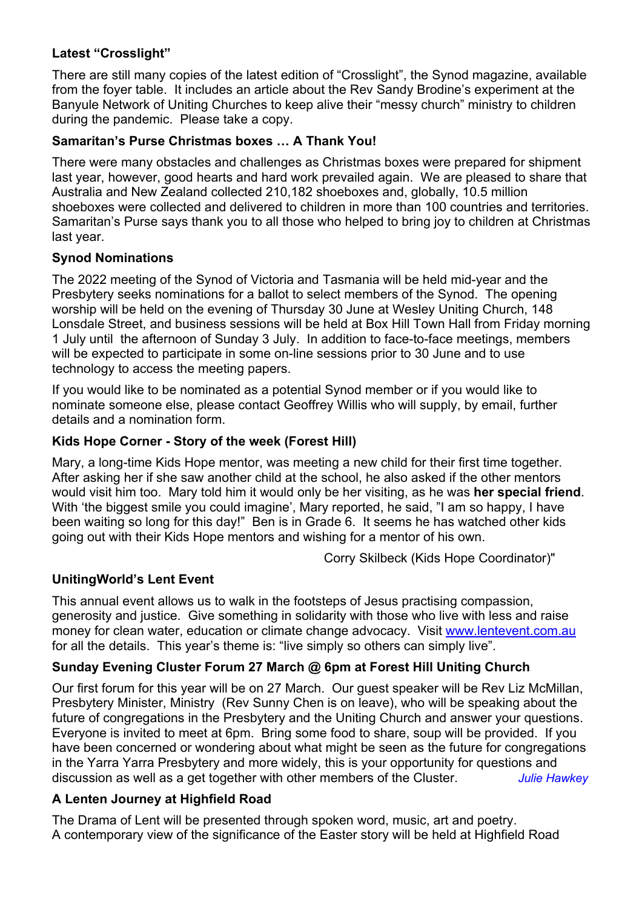#### **Latest "Crosslight"**

There are still many copies of the latest edition of "Crosslight", the Synod magazine, available from the foyer table. It includes an article about the Rev Sandy Brodine's experiment at the Banyule Network of Uniting Churches to keep alive their "messy church" ministry to children during the pandemic. Please take a copy.

#### **Samaritan's Purse Christmas boxes … A Thank You!**

There were many obstacles and challenges as Christmas boxes were prepared for shipment last year, however, good hearts and hard work prevailed again. We are pleased to share that Australia and New Zealand collected 210,182 shoeboxes and, globally, 10.5 million shoeboxes were collected and delivered to children in more than 100 countries and territories. Samaritan's Purse says thank you to all those who helped to bring joy to children at Christmas last year.

#### **Synod Nominations**

The 2022 meeting of the Synod of Victoria and Tasmania will be held mid-year and the Presbytery seeks nominations for a ballot to select members of the Synod. The opening worship will be held on the evening of Thursday 30 June at Wesley Uniting Church, 148 Lonsdale Street, and business sessions will be held at Box Hill Town Hall from Friday morning 1 July until the afternoon of Sunday 3 July. In addition to face-to-face meetings, members will be expected to participate in some on-line sessions prior to 30 June and to use technology to access the meeting papers.

If you would like to be nominated as a potential Synod member or if you would like to nominate someone else, please contact Geoffrey Willis who will supply, by email, further details and a nomination form.

#### **Kids Hope Corner - Story of the week (Forest Hill)**

Mary, a long-time Kids Hope mentor, was meeting a new child for their first time together. After asking her if she saw another child at the school, he also asked if the other mentors would visit him too. Mary told him it would only be her visiting, as he was **her special friend**. With 'the biggest smile you could imagine', Mary reported, he said, "I am so happy, I have been waiting so long for this day!" Ben is in Grade 6. It seems he has watched other kids going out with their Kids Hope mentors and wishing for a mentor of his own.

Corry Skilbeck (Kids Hope Coordinator)"

#### **UnitingWorld's Lent Event**

This annual event allows us to walk in the footsteps of Jesus practising compassion, generosity and justice. Give something in solidarity with those who live with less and raise money for clean water, education or climate change advocacy. Visit www.lentevent.com.au for all the details. This year's theme is: "live simply so others can simply live".

#### **Sunday Evening Cluster Forum 27 March @ 6pm at Forest Hill Uniting Church**

Our first forum for this year will be on 27 March. Our guest speaker will be Rev Liz McMillan, Presbytery Minister, Ministry (Rev Sunny Chen is on leave), who will be speaking about the future of congregations in the Presbytery and the Uniting Church and answer your questions. Everyone is invited to meet at 6pm. Bring some food to share, soup will be provided. If you have been concerned or wondering about what might be seen as the future for congregations in the Yarra Yarra Presbytery and more widely, this is your opportunity for questions and discussion as well as a get together with other members of the Cluster. *Julie Hawkey*

#### **A Lenten Journey at Highfield Road**

The Drama of Lent will be presented through spoken word, music, art and poetry. A contemporary view of the significance of the Easter story will be held at Highfield Road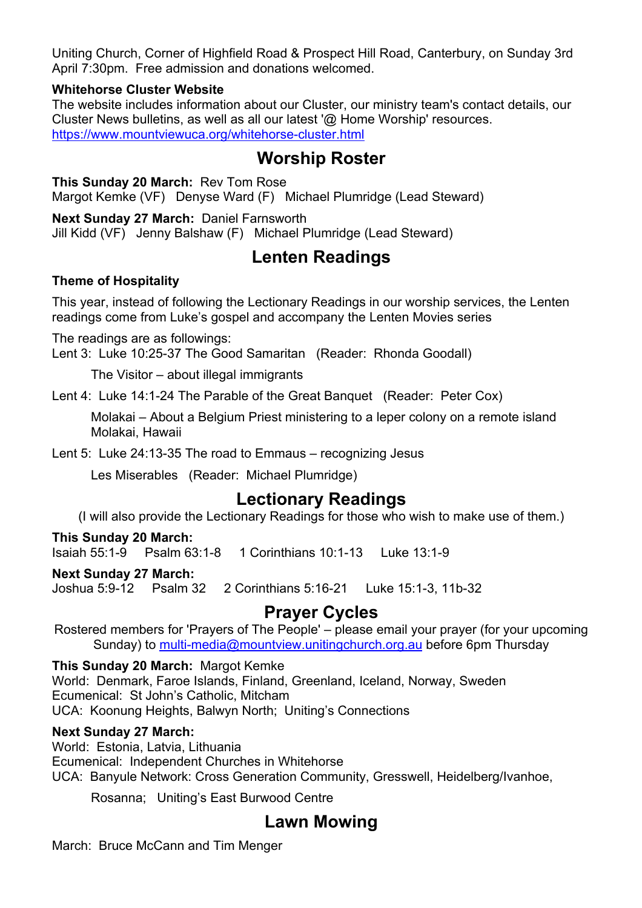Uniting Church, Corner of Highfield Road & Prospect Hill Road, Canterbury, on Sunday 3rd April 7:30pm. Free admission and donations welcomed.

#### **Whitehorse Cluster Website**

The website includes information about our Cluster, our ministry team's contact details, our Cluster News bulletins, as well as all our latest '@ Home Worship' resources. https://www.mountviewuca.org/whitehorse-cluster.html

### **Worship Roster**

**This Sunday 20 March:** Rev Tom Rose Margot Kemke (VF) Denyse Ward (F) Michael Plumridge (Lead Steward)

**Next Sunday 27 March:** Daniel Farnsworth

Jill Kidd (VF) Jenny Balshaw (F) Michael Plumridge (Lead Steward)

## **Lenten Readings**

#### **Theme of Hospitality**

This year, instead of following the Lectionary Readings in our worship services, the Lenten readings come from Luke's gospel and accompany the Lenten Movies series

The readings are as followings:

Lent 3: Luke 10:25-37 The Good Samaritan (Reader: Rhonda Goodall)

The Visitor – about illegal immigrants

Lent 4: Luke 14:1-24 The Parable of the Great Banquet (Reader: Peter Cox)

Molakai – About a Belgium Priest ministering to a leper colony on a remote island Molakai, Hawaii

Lent 5: Luke 24:13-35 The road to Emmaus – recognizing Jesus

Les Miserables (Reader: Michael Plumridge)

## **Lectionary Readings**

(I will also provide the Lectionary Readings for those who wish to make use of them.)

#### **This Sunday 20 March:**

Isaiah 55:1-9 Psalm 63:1-8 1 Corinthians 10:1-13 Luke 13:1-9

#### **Next Sunday 27 March:**

Joshua 5:9-12 Psalm 32 2 Corinthians 5:16-21 Luke 15:1-3, 11b-32

### **Prayer Cycles**

Rostered members for 'Prayers of The People' – please email your prayer (for your upcoming Sunday) to multi-media@mountview.unitingchurch.org.au before 6pm Thursday

**This Sunday 20 March:** Margot Kemke World: Denmark, Faroe Islands, Finland, Greenland, Iceland, Norway, Sweden Ecumenical: St John's Catholic, Mitcham UCA: Koonung Heights, Balwyn North; Uniting's Connections

#### **Next Sunday 27 March:**

World: Estonia, Latvia, Lithuania Ecumenical: Independent Churches in Whitehorse UCA: Banyule Network: Cross Generation Community, Gresswell, Heidelberg/Ivanhoe,

Rosanna; Uniting's East Burwood Centre

## **Lawn Mowing**

March: Bruce McCann and Tim Menger